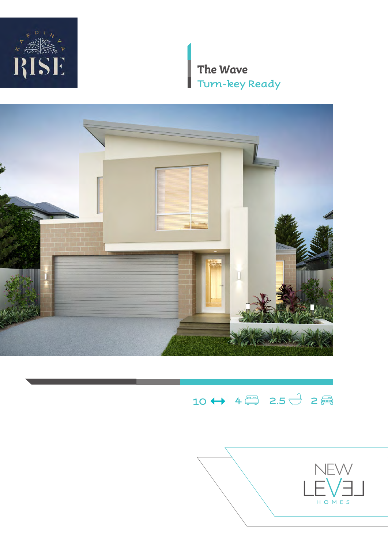

*The Wave* **Turn-key Ready**

H



# $10 \leftrightarrow 4 \oplus 2.5 \oplus 2$

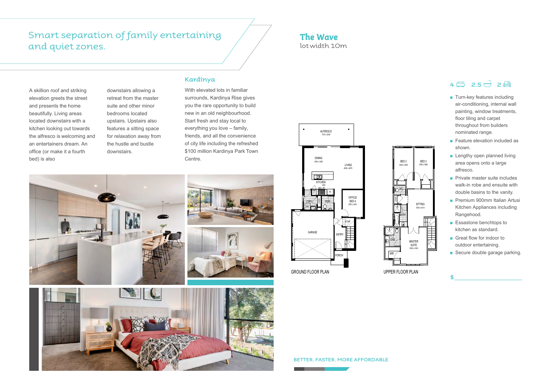### *The Wave*  lot width 10m

- Turn-key features including air-conditioning, internal wall painting, window treatments, floor tiling and carpet throughout from builders nominated range.
- Feature elevation included as shown.
- Lengthy open planned living area opens onto a large alfresco.
- Private master suite includes walk-in robe and ensuite with double basins to the vanity.
- Premium 900mm Italian Artusi Kitchen Appliances including Rangehood.
- Essastone benchtops to kitchen as standard.
- Great flow for indoor to outdoor entertaining.

**\$**

■ Secure double garage parking.

**BETTER. FASTER. MORE AFFORDABLE**

A skillion roof and striking elevation greets the street and presents the home beautifully. Living areas located downstairs with a kitchen looking out towards the alfresco is welcoming and an entertainers dream. An office (or make it a fourth bed) is also

downstairs allowing a retreat from the master suite and other minor bedrooms located upstairs. Upstairs also features a sitting space for relaxation away from the hustle and bustle downstairs.

### **Kardinya**

With elevated lots in familiar surrounds, Kardinya Rise gives you the rare opportunity to build new in an old neighbourhood. Start fresh and stay local to everything you love – family, friends, and all the convenience of city life including the refreshed \$100 million Kardinya Park Town Centre.

## Smart separation of family entertaining and quiet zones.